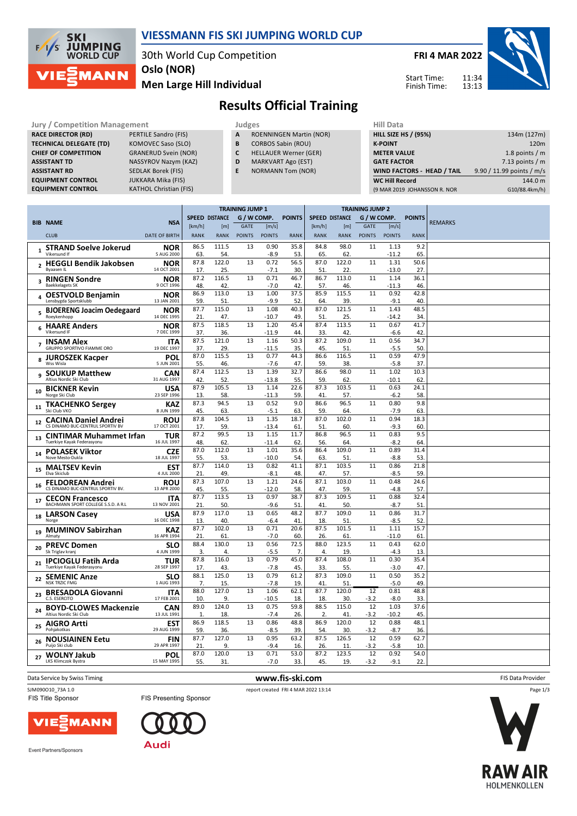

### **VIESSMANN FIS SKI JUMPING WORLD CUP**

30th World Cup Competition

**Oslo (NOR)**

**Men Large Hill Individual**

**FRI 4 MAR 2022**

Start Time:

11:34 13:13



Finish Time:

# **Results Official Training**

**Jury / Competition Management Judges Hill Data**<br> **RACE DIRECTOR (RD)** PERTILE Sandro (FIS) **A** ROENNINGEN Martin (NOR) **HILL SIZE HILL SIZE RACE DIRECTOR (RD) TECHNICAL DELEGATE (TD)** KOMOVEC Saso (SLO)<br> **CHIEF OF COMPETITION** GRANERUD Svein (NOR) **CHIEF OF COMPETITION ASSISTANT TD** NASSYROV Nazym (KAZ) **ASSISTANT RD** SEDLAK Borek (FIS)<br>**EQUIPMENT CONTROL** JUKKARA Mika (FIS) **EQUIPMENT CONTROL**<br>**EQUIPMENT CONTROL** 

**EXATHOL Christian (FIS)** 

**A** ROENNINGEN Martin (NOR)

- **B** CORBOS Sabin (ROU)
- **C** HELLAUER Werner (GER)
- **D** MARKVART Ago (EST)
- **E** NORMANN Tom (NOR)

| .                            |                           |
|------------------------------|---------------------------|
| <b>HILL SIZE HS / (95%)</b>  | 134m (127m)               |
| <b>K-POINT</b>               | 120 <sub>m</sub>          |
| <b>METER VALUE</b>           | 1.8 points $/m$           |
| <b>GATE FACTOR</b>           | 7.13 points $/m$          |
| WIND FACTORS - HEAD / TAIL   | 9.90 / 11.99 points / m/s |
| <b>WC Hill Record</b>        | 144.0 m                   |
| (9 MAR 2019 JOHANSSON R. NOR | G10/88.4km/h)             |
|                              |                           |

|                |                                                                 |                           | <b>TRAINING JUMP 1</b> |                       |               |                 |               |                       |              | <b>TRAINING JUMP 2</b> |                 |               |                |
|----------------|-----------------------------------------------------------------|---------------------------|------------------------|-----------------------|---------------|-----------------|---------------|-----------------------|--------------|------------------------|-----------------|---------------|----------------|
|                | <b>BIB NAME</b>                                                 | <b>NSA</b>                |                        | <b>SPEED DISTANCE</b> | G / W COMP.   |                 | <b>POINTS</b> | <b>SPEED DISTANCE</b> |              | G / W COMP.            |                 | <b>POINTS</b> | <b>REMARKS</b> |
|                |                                                                 |                           | [km/h]                 | [m]                   | <b>GATE</b>   | [m/s]           |               | [km/h]                | [m]          | <b>GATE</b>            | [m/s]           |               |                |
|                | <b>CLUB</b>                                                     | <b>DATE OF BIRTH</b>      | <b>RANK</b>            | <b>RANK</b>           | <b>POINTS</b> | <b>POINTS</b>   | <b>RANK</b>   | <b>RANK</b>           | <b>RANK</b>  | <b>POINTS</b>          | <b>POINTS</b>   | <b>RANK</b>   |                |
|                | <b>STRAND Soelve Jokerud</b><br>Vikersund If                    | <b>NOR</b><br>5 AUG 2000  | 86.5<br>63             | 111.5<br>54           | 13            | 0.90<br>$-8.9$  | 35.8<br>53    | 84.8<br>65            | 98.0<br>62.  | 11                     | 1.13<br>$-11.2$ | 9.2<br>65     |                |
| $\mathbf{2}$   | <b>HEGGLI Bendik Jakobsen</b><br>Byaasen IL                     | <b>NOR</b><br>14 OCT 2001 | 87.8<br>17.            | 122.0<br>25           | 13            | 0.72<br>$-7.1$  | 56.5<br>30    | 87.0<br>51            | 122.0<br>22. | 11                     | 1.31<br>$-13.0$ | 50.6<br>27.   |                |
| 3              | <b>RINGEN Sondre</b><br><b>Baekkelagets SK</b>                  | <b>NOR</b><br>9 OCT 1996  | 87.2<br>48             | 116.5<br>42           | 13            | 0.71<br>$-7.0$  | 46.7<br>42    | 86.7<br>57            | 113.0<br>46. | 11                     | 1.14<br>$-11.3$ | 36.1<br>46.   |                |
|                | <b>OESTVOLD Benjamin</b><br>Lensbygda Sportsklubb               | <b>NOR</b><br>13 JAN 2001 | 86.9<br>59.            | 113.0<br>51.          | 13            | 1.00<br>$-9.9$  | 37.5<br>52    | 85.9<br>64.           | 115.5<br>39. | 11                     | 0.92<br>$-9.1$  | 42.8<br>40.   |                |
|                | <b>BJOERENG Joacim Oedegaard</b><br>Roeykenhopp                 | <b>NOR</b><br>14 DEC 1995 | 87.7<br>21             | 115.0<br>47.          | 13            | 1.08<br>$-10.7$ | 40.3<br>49    | 87.0<br>51            | 121.5<br>25. | 11                     | 1.43<br>$-14.2$ | 48.5<br>34.   |                |
| 6              | <b>HAARE Anders</b><br>Vikersund IF                             | <b>NOR</b><br>7 DEC 1999  | 87.5<br>37.            | 118.5<br>36.          | 13            | 1.20<br>-11.9   | 45.4<br>44    | 87.4<br>33            | 113.5<br>42  | 11                     | 0.67<br>-6.6    | 41.7<br>42    |                |
| $\overline{ }$ | <b>INSAM Alex</b><br>GRUPPO SPORTIVO FIAMME ORO                 | ITA<br>19 DEC 1997        | 87.5<br>37             | 121.0<br>29           | 13            | 1.16<br>-11.5   | 50.3<br>35.   | 87.2<br>45.           | 109.0<br>51. | 11                     | 0.56<br>$-5.5$  | 34.7<br>50.   |                |
| 8              | <b>JUROSZEK Kacper</b><br>Wss Wisla                             | POL<br>5 JUN 2001         | 87.0<br>55.            | 115.5<br>46.          | 13            | 0.77<br>$-7.6$  | 44.3<br>47.   | 86.6<br>59            | 116.5<br>38. | 11                     | 0.59<br>$-5.8$  | 47.9<br>37.   |                |
| 9              | <b>SOUKUP Matthew</b><br>Altius Nordic Ski Club                 | CAN<br>31 AUG 1997        | 87.4<br>42             | 112.5<br>52.          | 13            | 1.39<br>$-13.8$ | 32.7<br>55.   | 86.6<br>59.           | 98.0<br>62.  | 11                     | 1.02<br>$-10.1$ | 10.3<br>62.   |                |
| 10             | <b>BICKNER Kevin</b><br>Norge Ski Club                          | <b>USA</b><br>23 SEP 1996 | 87.9<br>13.            | 105.5<br>58.          | 13            | 1.14<br>$-11.3$ | 22.6<br>59    | 87.3<br>41.           | 103.5<br>57. | 11                     | 0.63<br>$-6.2$  | 24.1<br>58.   |                |
| 11             | <b>TKACHENKO Sergey</b><br>Ski Club VKO                         | KAZ<br>8 JUN 1999         | 87.3<br>45             | 94.5<br>63            | 13            | 0.52<br>$-5.1$  | 9.0<br>63.    | 86.6<br>59            | 96.5<br>64   | 11                     | 0.80<br>$-7.9$  | 9.8<br>63.    |                |
| 12             | <b>CACINA Daniel Andrei</b><br>CS DINAMO BUC-CENTRUL SPORTIV BV | <b>ROU</b><br>17 OCT 2001 | 87.8<br>17.            | 104.5<br>59.          | 13            | 1.35<br>$-13.4$ | 18.7<br>61.   | 87.0<br>51            | 102.0<br>60. | 11                     | 0.94<br>$-9.3$  | 18.3<br>60.   |                |
| 13             | <b>CINTIMAR Muhammet Irfan</b><br>Tuerkiye Kayak Federasyonu    | <b>TUR</b><br>16 JUL 1997 | 87.2<br>48.            | 99.5<br>62.           | 13            | 1.15<br>$-11.4$ | 11.7<br>62.   | 86.8<br>56.           | 96.5<br>64.  | 11                     | 0.83<br>$-8.2$  | 9.5<br>64.    |                |
| 14             | <b>POLASEK Viktor</b><br>Nove Mesto-Dukla                       | <b>CZE</b><br>18 JUL 1997 | 87.0<br>55.            | 112.0<br>53.          | 13            | 1.01<br>$-10.0$ | 35.6<br>54    | 86.4<br>63            | 109.0<br>51  | 11                     | 0.89<br>$-8.8$  | 31.4<br>53    |                |
| 15             | <b>MALTSEV Kevin</b><br>Flya Skiclub                            | EST<br>4 JUL 2000         | 87.7<br>21             | 114.0<br>49           | 13            | 0.82<br>$-8.1$  | 41.1<br>48.   | 87.1<br>47.           | 103.5<br>57. | 11                     | 0.86<br>$-8.5$  | 21.8<br>59.   |                |
| 16             | <b>FELDOREAN Andrei</b><br>CS DINAMO BUC-CENTRUL SPORTIV BV.    | <b>ROU</b><br>13 APR 2000 | 87.3<br>45.            | 107.0<br>55.          | 13            | 1.21<br>-12.0   | 24.6<br>58    | 87.1<br>47.           | 103.0<br>59. | 11                     | 0.48<br>$-4.8$  | 24.6<br>57    |                |
| 17             | <b>CECON Francesco</b><br>BACHMANN SPORT COLLEGE S.S.D. A R.L   | ITA<br>13 NOV 2001        | 87.7<br>21             | 113.5<br>50.          | 13            | 0.97<br>$-9.6$  | 38.7<br>51    | 87.3<br>41            | 109.5<br>50. | 11                     | 0.88<br>$-8.7$  | 32.4<br>51    |                |
| 18             | <b>LARSON Casey</b><br>Norge                                    | <b>USA</b><br>16 DEC 1998 | 87.9<br>13             | 117.0<br>40.          | 13            | 0.65<br>-6.4    | 48.2<br>41    | 87.7<br>18.           | 109.0<br>51  | 11                     | 0.86<br>-8.5    | 31.7<br>52    |                |
| 19             | <b>MUMINOV Sabirzhan</b><br>Almaty                              | KAZ<br>16 APR 1994        | 87.7<br>21             | 102.0<br>61.          | 13            | 0.71<br>$-7.0$  | 20.6<br>60.   | 87.5<br>26.           | 101.5<br>61. | 11                     | 1.11<br>-11.0   | 15.7<br>61    |                |
| 20             | <b>PREVC Domen</b><br>Sk Triglav kranj                          | <b>SLO</b><br>4 JUN 1999  | 88.4<br>3.             | 130.0<br>4.           | 13            | 0.56<br>$-5.5$  | 72.5<br>7.    | 88.0<br>4.            | 123.5<br>19. | 11                     | 0.43<br>$-4.3$  | 62.0<br>13    |                |
| 21             | <b>IPCIOGLU Fatih Arda</b><br>Tuerkiye Kayak Federasyonu        | <b>TUR</b><br>28 SEP 1997 | 87.8<br>17.            | 116.0<br>43           | 13            | 0.79<br>$-7.8$  | 45.0<br>45.   | 87.4<br>33.           | 108.0<br>55. | 11                     | 0.30<br>$-3.0$  | 35.4<br>47.   |                |
| 22             | <b>SEMENIC Anze</b><br><b>NSK TRZIC FMG</b>                     | <b>SLO</b><br>1 AUG 1993  | 88.1<br>7.             | 125.0<br>15           | 13            | 0.79<br>$-7.8$  | 61.2<br>19    | 87.3<br>41            | 109.0<br>51  | 11                     | 0.50<br>$-5.0$  | 35.2<br>49    |                |
| 23             | <b>BRESADOLA Giovanni</b><br>C.S. ESERCITO                      | <b>ITA</b><br>17 FEB 2001 | 88.0<br>10.            | 127.0<br>9            | 13            | 1.06<br>$-10.5$ | 62.1<br>18.   | 87.7<br>18.           | 120.0<br>30. | 12<br>$-3.2$           | 0.81<br>$-8.0$  | 48.8<br>33.   |                |
| 24             | <b>BOYD-CLOWES Mackenzie</b><br>Altius Nordic Ski Club          | <b>CAN</b><br>13 JUL 1991 | 89.0<br>$\mathbf{1}$   | 124.0<br>18.          | 13            | 0.75<br>$-7.4$  | 59.8<br>26    | 88.5<br>2.            | 115.0<br>41  | 12<br>$-3.2$           | 1.03<br>$-10.2$ | 37.6<br>45    |                |
| 25             | <b>AIGRO Artti</b><br>Pohjakotkas                               | EST<br>29 AUG 1999        | 86.9<br>59.            | 118.5<br>36.          | 13            | 0.86<br>$-8.5$  | 48.8<br>39    | 86.9<br>54            | 120.0<br>30. | 12<br>$-3.2$           | 0.88<br>$-8.7$  | 48.1<br>36.   |                |
| 26             | <b>NOUSIAINEN Eetu</b><br>Puijo Ski club                        | <b>FIN</b><br>29 APR 1997 | 87.7<br>21             | 127.0<br>9            | 13            | 0.95<br>$-9.4$  | 63.2<br>16.   | 87.5<br>26.           | 126.5<br>11  | 12<br>$-3.2$           | 0.59<br>$-5.8$  | 62.7<br>10    |                |
| 27             | <b>WOLNY Jakub</b><br>LKS Klimczok Bystra                       | POL<br>15 MAY 1995        | 87.0<br>55.            | 120.0<br>31.          | 13            | 0.71<br>$-7.0$  | 53.0<br>33.   | 87.2<br>45.           | 123.5<br>19. | 12<br>$-3.2$           | 0.92<br>$-9.1$  | 54.0<br>22.   |                |
|                |                                                                 |                           |                        |                       |               |                 |               |                       |              |                        |                 |               |                |

**Data Service by Swiss Timing** FIS Data Provider

FIS Title Sponsor

SJM090O10\_73A 1.0 report created FRI 4 MAR 2022 13:14

Page 1/3

MANN VIE;



FIS Presenting Sponsor

Event Partners/Sponsors

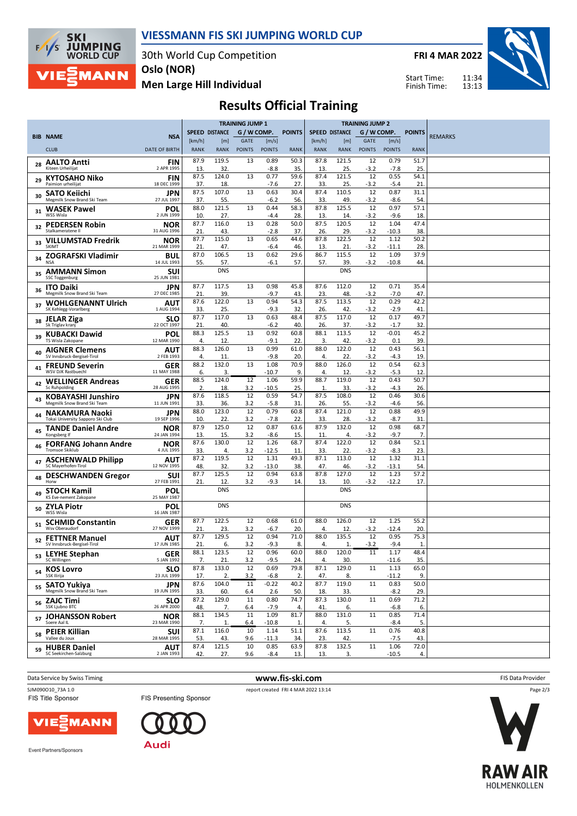

#### **VIESSMANN FIS SKI JUMPING WORLD CUP**

30th World Cup Competition **Oslo (NOR)**

**FRI 4 MAR 2022**

Start Time: Finish Time:



**Men Large Hill Individual**

|  |  | <b>Results Official Training</b> |
|--|--|----------------------------------|
|--|--|----------------------------------|

|    |                                                            |                           | <b>TRAINING JUMP 1</b> |                       |                              |                        |               |                       |                    | <b>TRAINING JUMP 2</b> |                        |               |                |
|----|------------------------------------------------------------|---------------------------|------------------------|-----------------------|------------------------------|------------------------|---------------|-----------------------|--------------------|------------------------|------------------------|---------------|----------------|
|    | <b>BIB NAME</b>                                            | <b>NSA</b>                |                        | <b>SPEED DISTANCE</b> | G / W COMP.                  |                        | <b>POINTS</b> | <b>SPEED DISTANCE</b> |                    | G / W COMP.            |                        | <b>POINTS</b> | <b>REMARKS</b> |
|    | <b>CLUB</b>                                                | <b>DATE OF BIRTH</b>      | [km/h]<br><b>RANK</b>  | [m]<br><b>RANK</b>    | <b>GATE</b><br><b>POINTS</b> | [m/s]<br><b>POINTS</b> | <b>RANK</b>   | [km/h]<br><b>RANK</b> | [m]<br><b>RANK</b> | GATE<br><b>POINTS</b>  | [m/s]<br><b>POINTS</b> | <b>RANK</b>   |                |
|    | <b>AALTO Antti</b>                                         | <b>FIN</b>                | 87.9                   | 119.5                 | 13                           | 0.89                   | 50.3          | 87.8                  | 121.5              | 12                     | 0.79                   | 51.7          |                |
| 28 | Kiteen Urheilijat                                          | 2 APR 1995                | 13.                    | 32.                   |                              | $-8.8$                 | 35.           | 13.                   | 25.                | $-3.2$                 | $-7.8$                 | 25            |                |
| 29 | KYTOSAHO Niko<br>Paimion urheilijat                        | <b>FIN</b><br>18 DEC 1999 | 87.5<br>37.            | 124.0<br>18.          | 13                           | 0.77<br>$-7.6$         | 59.6<br>27.   | 87.4<br>33.           | 121.5<br>25.       | 12<br>-3.2             | 0.55<br>$-5.4$         | 54.1<br>21    |                |
| 30 | <b>SATO Keiichi</b><br>Megmilk Snow Brand Ski Team         | <b>JPN</b><br>27 JUL 1997 | 87.5<br>37.            | 107.0<br>55.          | 13                           | 0.63<br>$-6.2$         | 30.4<br>56.   | 87.4<br>33.           | 110.5<br>49.       | 12<br>-3.2             | 0.87<br>-8.6           | 31.1<br>54    |                |
| 31 | <b>WASEK Pawel</b><br>WSS Wisla                            | POL<br>2 JUN 1999         | 88.0<br>10.            | 121.5<br>27.          | 13                           | 0.44<br>$-4.4$         | 58.3<br>28    | 87.8<br>13.           | 125.5<br>14.       | 12<br>$-3.2$           | 0.97<br>$-9.6$         | 57.1<br>18.   |                |
| 32 | <b>PEDERSEN Robin</b><br>Stalkameratene II                 | NOR<br>31 AUG 1996        | 87.7<br>21             | 116.0<br>43.          | 13                           | 0.28<br>$-2.8$         | 50.0<br>37.   | 87.5<br>26.           | 120.5<br>29.       | 12<br>$-3.2$           | 1.04<br>$-10.3$        | 47.4<br>38.   |                |
| 33 | <b>VILLUMSTAD Fredrik</b><br><b>SKIMT</b>                  | <b>NOR</b><br>21 MAR 1999 | 87.7<br>21             | 115.0<br>47.          | 13                           | 0.65<br>$-6.4$         | 44.6<br>46.   | 87.8<br>13.           | 122.5<br>21        | 12<br>$-3.2$           | 1.12<br>$-11.1$        | 50.2<br>28    |                |
| 34 | <b>ZOGRAFSKI Vladimir</b><br><b>NSA</b>                    | <b>BUL</b><br>14 JUL 1993 | 87.0<br>55.            | 106.5<br>57.          | 13                           | 0.62<br>$-6.1$         | 29.6<br>57.   | 86.7<br>57.           | 115.5<br>39.       | 12<br>-3.2             | 1.09<br>$-10.8$        | 37.9<br>44.   |                |
| 35 | <b>AMMANN Simon</b><br><b>SSC Toggenburg</b>               | SUI<br>25 JUN 1981        |                        | <b>DNS</b>            |                              |                        |               |                       | <b>DNS</b>         |                        |                        |               |                |
| 36 | <b>ITO Daiki</b><br>Megmilk Snow Brand Ski Team            | <b>JPN</b><br>27 DEC 1985 | 87.7<br>21             | 117.5<br>39.          | 13                           | 0.98<br>$-9.7$         | 45.8<br>43.   | 87.6<br>23.           | 112.0<br>48.       | 12<br>$-3.2$           | 0.71<br>$-7.0$         | 35.4<br>47    |                |
| 37 | <b>WOHLGENANNT Ulrich</b><br>SK Kehlegg-Vorarlberg         | <b>AUT</b><br>1 AUG 1994  | 87.6<br>33.            | 122.0<br>25.          | 13                           | 0.94<br>$-9.3$         | 54.3<br>32.   | 87.5<br>26.           | 113.5<br>42.       | 12<br>-3.2             | 0.29<br>$-2.9$         | 42.2<br>41    |                |
| 38 | <b>JELAR Ziga</b><br>Sk Triglav kranj                      | SLO<br>22 OCT 1997        | 87.7<br>21.            | 117.0<br>40.          | 13                           | 0.63<br>$-6.2$         | 48.4<br>40.   | 87.5<br>26.           | 117.0<br>37.       | 12<br>-3.2             | 0.17<br>$-1.7$         | 49.7<br>32    |                |
| 39 | <b>KUBACKI Dawid</b><br>TS Wisla Zakopane                  | POL<br>12 MAR 1990        | 88.3<br>4.             | 125.5<br>12.          | 13                           | 0.92<br>$-9.1$         | 60.8<br>22.   | 88.1<br>3.            | 113.5<br>42.       | 12<br>$-3.2$           | $-0.01$<br>0.1         | 45.2<br>39    |                |
| 40 | <b>AIGNER Clemens</b><br>SV Innsbruck-Bergisel-Tirol       | AUT<br>2 FEB 1993         | 88.3<br>4.             | 126.0<br>11           | 13                           | 0.99<br>$-9.8$         | 61.0<br>20.   | 88.0<br>4.            | 122.0<br>22.       | 12<br>$-3.2$           | 0.43<br>$-4.3$         | 56.1<br>19    |                |
| 41 | <b>FREUND Severin</b><br>WSV DJK Rastbuechl                | GER<br>11 MAY 1988        | 88.2<br>6.             | 132.0<br>3.           | 13                           | 1.08<br>$-10.7$        | 70.9<br>9.    | 88.0<br>4.            | 126.0<br>12        | 12<br>$-3.2$           | 0.54<br>$-5.3$         | 62.3<br>12    |                |
| 42 | <b>WELLINGER Andreas</b><br><b>Sc Ruhpolding</b>           | <b>GER</b><br>28 AUG 1995 | 88.5<br>$\overline{2}$ | 124.0<br>18.          | 12<br>3.2                    | 1.06<br>$-10.5$        | 59.9<br>25.   | 88.7<br>$\mathbf{1}$  | 119.0<br>33.       | 12<br>$-3.2$           | 0.43<br>$-4.3$         | 50.7<br>26.   |                |
| 43 | <b>KOBAYASHI Junshiro</b><br>Megmilk Snow Brand Ski Team   | <b>JPN</b><br>11 JUN 1991 | 87.6<br>33.            | 118.5<br>36.          | 12<br>3.2                    | 0.59<br>$-5.8$         | 54.7<br>31    | 87.5<br>26.           | 108.0<br>55.       | 12<br>-3.2             | 0.46<br>$-4.6$         | 30.6<br>56    |                |
| 44 | <b>NAKAMURA Naoki</b><br>Tokai University Sapporo Ski Club | <b>JPN</b><br>19 SEP 1996 | 88.0<br>10.            | 123.0<br>22.          | 12<br>3.2                    | 0.79<br>$-7.8$         | 60.8<br>22    | 87.4<br>33.           | 121.0<br>28.       | 12<br>$-3.2$           | 0.88<br>$-8.7$         | 49.9<br>31    |                |
| 45 | <b>TANDE Daniel Andre</b><br>Kongsberg If                  | <b>NOR</b><br>24 JAN 1994 | 87.9<br>13             | 125.0<br>15.          | 12<br>3.2                    | 0.87<br>$-8.6$         | 63.6<br>15.   | 87.9<br>11            | 132.0<br>4.        | 12<br>$-3.2$           | 0.98<br>$-9.7$         | 68.7<br>7.    |                |
| 46 | <b>FORFANG Johann Andre</b><br><b>Tromsoe Skiklub</b>      | <b>NOR</b><br>4 JUL 1995  | 87.6<br>33.            | 130.0<br>4.           | 12<br>3.2                    | 1.26<br>$-12.5$        | 68.7<br>11    | 87.4<br>33.           | 122.0<br>22.       | 12<br>-3.2             | 0.84<br>$-8.3$         | 52.1<br>23    |                |
| 47 | <b>ASCHENWALD Philipp</b><br>SC Mayerhofen-Tirol           | <b>AUT</b><br>12 NOV 1995 | 87.2<br>48.            | 119.5<br>32.          | 12<br>3.2                    | 1.31<br>-13.0          | 49.3<br>38.   | 87.1<br>47.           | 113.0<br>46.       | 12<br>-3.2             | 1.32<br>$-13.1$        | 31.1<br>54.   |                |
| 48 | <b>DESCHWANDEN Gregor</b><br>Horw                          | SUI<br>27 FEB 1991        | 87.7<br>21.            | 125.5<br>12.          | 12<br>3.2                    | 0.94<br>$-9.3$         | 63.8<br>14.   | 87.8<br>13.           | 127.0<br>10.       | 12<br>$-3.2$           | 1.23<br>$-12.2$        | 57.2<br>17.   |                |
| 49 | <b>STOCH Kamil</b><br>KS Eve-nement Zakopane               | POL<br>25 MAY 1987        |                        | <b>DNS</b>            |                              |                        |               |                       | <b>DNS</b>         |                        |                        |               |                |
| 50 | <b>ZYLA Piotr</b><br>WSS Wisla                             | POL<br>16 JAN 1987        |                        | <b>DNS</b>            |                              |                        |               |                       | <b>DNS</b>         |                        |                        |               |                |
| 51 | <b>SCHMID Constantin</b><br>Wsv Oberaudorf                 | <b>GER</b><br>27 NOV 1999 | 87.7<br>21             | 122.5<br>23.          | 12<br>3.2                    | 0.68<br>$-6.7$         | 61.0<br>20.   | 88.0<br>4.            | 126.0<br>12.       | 12<br>-3.2             | 1.25<br>$-12.4$        | 55.2<br>20.   |                |
| 52 | <b>FETTNER Manuel</b><br>SV Innsbruck-Bergisel-Tirol       | AUT<br>17 JUN 1985        | 87.7<br>21.            | 129.5<br>6.           | 12<br>3.2                    | 0.94<br>$-9.3$         | 71.0<br>8.    | 88.0<br>4.            | 135.5<br>1.        | 12<br>$-3.2$           | 0.95<br>$-9.4$         | 75.3<br>1.    |                |
|    | <sub>53</sub> LEYHE Stephan<br>SC Willingen                | <b>GER</b><br>5 JAN 1992  | 88.1<br>7.             | 123.5<br>21.          | 12<br>3.2                    | 0.96<br>$-9.5$         | 60.0<br>24.   | 88.0<br>4.            | 120.0<br>30.       | 11                     | 1.17<br>$-11.6$        | 48.4<br>35.   |                |
| 54 | <b>KOS Lovro</b><br>SSK Ilirija                            | <b>SLO</b><br>23 JUL 1999 | 87.8<br>17.            | 133.0<br>2.           | 12<br>3.2                    | 0.69<br>$-6.8$         | 79.8<br>2.    | 87.1<br>47.           | 129.0<br>8.        | 11                     | 1.13<br>$-11.2$        | 65.0<br>9.    |                |
| 55 | <b>SATO Yukiya</b><br>Megmilk Snow Brand Ski Team          | <b>JPN</b><br>19 JUN 1995 | 87.6<br>33.            | 104.0<br>60.          | 11<br>6.4                    | $-0.22$<br>2.6         | 40.2<br>50.   | 87.7<br>18.           | 119.0<br>33.       | 11                     | 0.83<br>-8.2           | 50.0<br>29.   |                |
| 56 | <b>ZAJC Timi</b><br><b>SSK Ljubno BTC</b>                  | <b>SLO</b><br>26 APR 2000 | 87.2<br>48.            | 129.0<br>7.           | 11<br>6.4                    | 0.80<br>$-7.9$         | 74.7<br>4.    | 87.3<br>41            | 130.0<br>6.        | 11                     | 0.69<br>$-6.8$         | 71.2<br>6.    |                |
| 57 | <b>JOHANSSON Robert</b><br>Soere Aal IL                    | <b>NOR</b><br>23 MAR 1990 | 88.1<br>7.             | 134.5<br>1.           | 11<br>6.4                    | 1.09<br>$-10.8$        | 81.7<br>1.    | 88.0<br>4.            | 131.0<br>5.        | 11                     | 0.85<br>$-8.4$         | 71.4<br>5.    |                |
| 58 | <b>PEIER Killian</b><br>Vallee du Joux                     | <b>SUI</b><br>28 MAR 1995 | 87.1<br>53.            | 116.0<br>43.          | 10<br>9.6                    | 1.14<br>$-11.3$        | 51.1<br>34.   | 87.6<br>23.           | 113.5<br>42.       | 11                     | 0.76<br>$-7.5$         | 40.8<br>43.   |                |
| 59 | <b>HUBER Daniel</b><br>SC Seekirchen-Salzburg              | <b>AUT</b><br>2 JAN 1993  | 87.4<br>42.            | 121.5<br>27.          | 10<br>9.6                    | 0.85<br>$-8.4$         | 63.9<br>13.   | 87.8<br>13.           | 132.5<br>3.        | 11                     | 1.06<br>$-10.5$        | 72.0<br>4.    |                |







Event Partners/Sponsors





Page 2/3